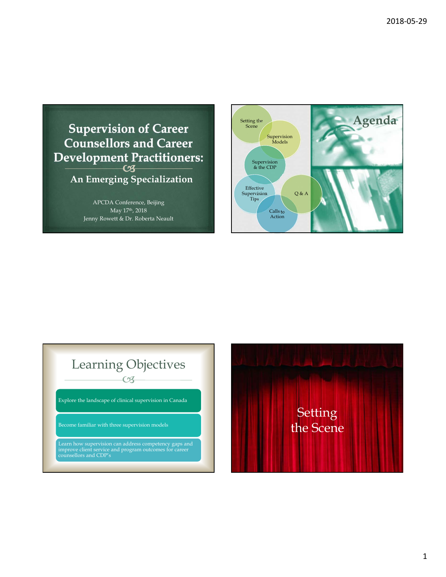

APCDA Conference, Beijing May 17th, 2018 Jenny Rowett & Dr. Roberta Neault



# $\overline{\mathcal{C}}$ Learning Objectives

Explore the landscape of clinical supervision in Canada

Become familiar with three supervision models

Learn how supervision can address competency gaps and improve client service and program outcomes for career counsellors and CDP's

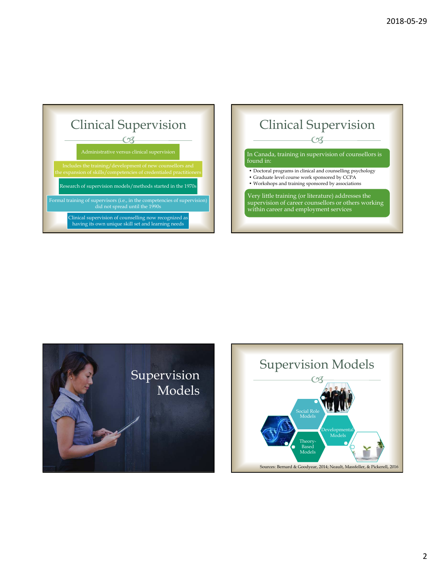

## $\overline{\mathcal{C}}$ Clinical Supervision

#### In Canada, training in supervision of counsellors is found in:

- Doctoral programs in clinical and counselling psychology
- Graduate level course work sponsored by CCPA
- Workshops and training sponsored by associations

#### Very little training (or literature) addresses the supervision of career counsellors or others working within career and employment services



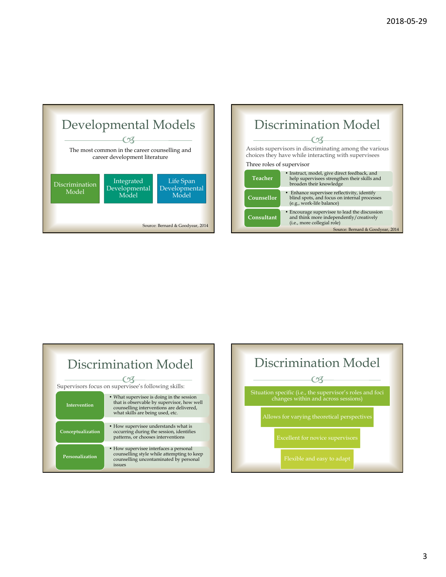





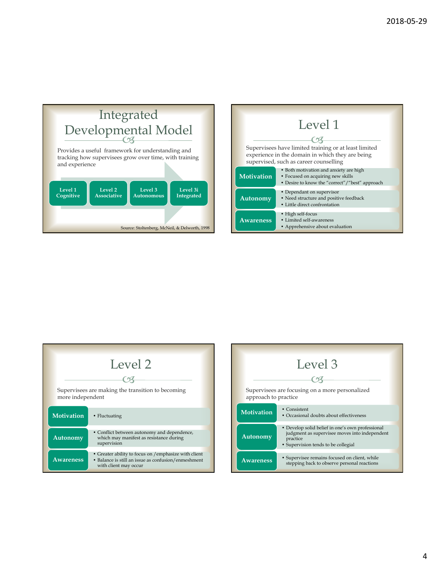

|                   | Level 1                                                                                                                                             |
|-------------------|-----------------------------------------------------------------------------------------------------------------------------------------------------|
|                   | Supervisees have limited training or at least limited<br>experience in the domain in which they are being<br>supervised, such as career counselling |
| <b>Motivation</b> | • Both motivation and anxiety are high<br>• Focused on acquiring new skills<br>• Desire to know the "correct"/"best" approach                       |
| Autonomy          | • Dependant on supervisor<br>• Need structure and positive feedback<br>• Little direct confrontation                                                |
| <b>Awareness</b>  | • High self-focus<br>• Limited self-awareness<br>• Apprehensive about evaluation                                                                    |

| Level 2                                           |                                                                                                                                      |  |
|---------------------------------------------------|--------------------------------------------------------------------------------------------------------------------------------------|--|
| Supervisees are making the transition to becoming |                                                                                                                                      |  |
| more independent                                  |                                                                                                                                      |  |
| <b>Motivation</b>                                 | • Fluctuating                                                                                                                        |  |
| <b>Autonomy</b>                                   | • Conflict between autonomy and dependence,<br>which may manifest as resistance during<br>supervision                                |  |
| <b>Awareness</b>                                  | • Greater ability to focus on /emphasize with client<br>• Balance is still an issue as confusion/enmeshment<br>with client may occur |  |

|                                                                         | Level 3                                                                                                                                              |
|-------------------------------------------------------------------------|------------------------------------------------------------------------------------------------------------------------------------------------------|
|                                                                         |                                                                                                                                                      |
| Supervisees are focusing on a more personalized<br>approach to practice |                                                                                                                                                      |
| <b>Motivation</b>                                                       | • Consistent<br>• Occasional doubts about effectiveness                                                                                              |
| Autonomy                                                                | • Develop solid belief in one's own professional<br>judgment as supervisee moves into independent<br>practice<br>• Supervision tends to be collegial |
| <b>Awareness</b>                                                        | • Supervisee remains focused on client, while<br>stepping back to observe personal reactions                                                         |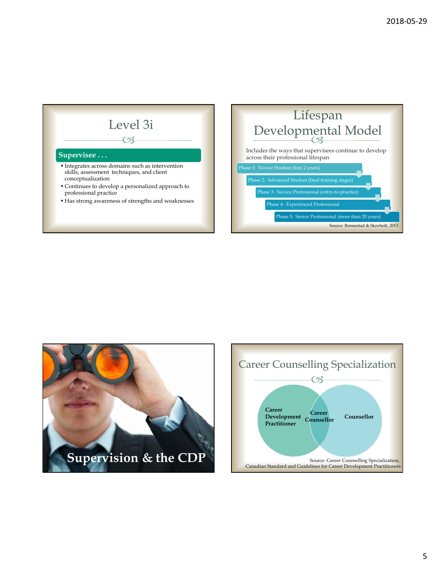





5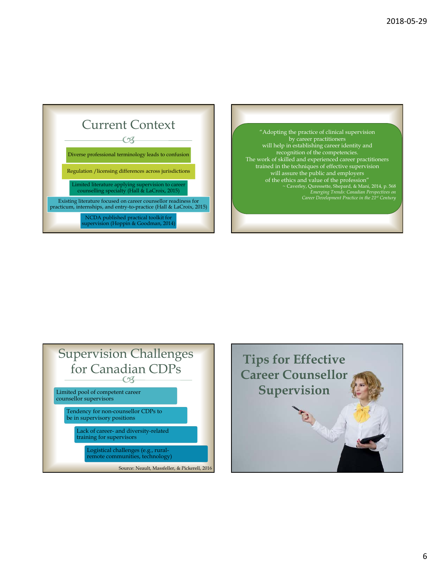





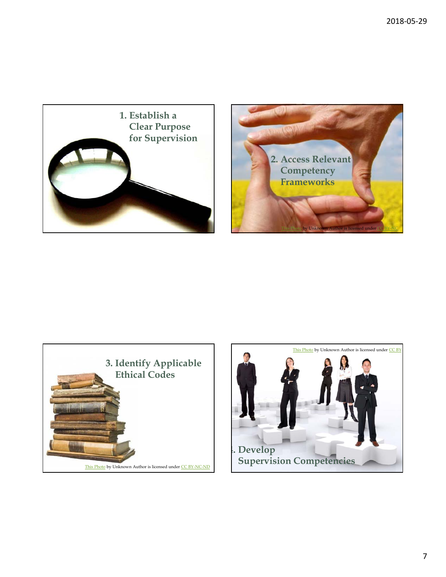





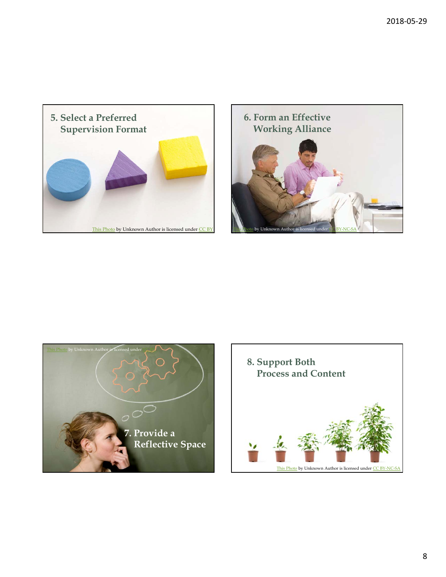





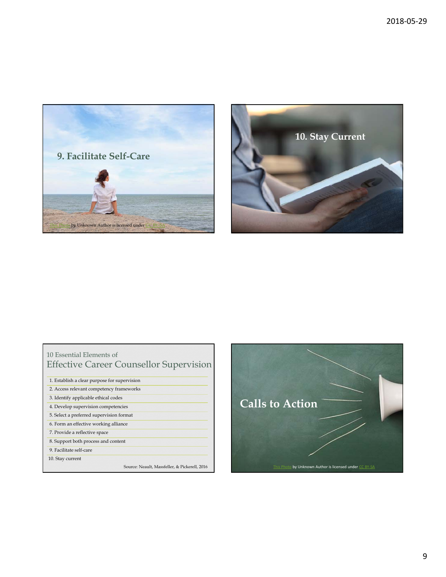



### 10 Essential Elements of Effective Career Counsellor Supervision

| 1. Establish a clear purpose for supervision  |
|-----------------------------------------------|
| 2. Access relevant competency frameworks      |
| 3. Identify applicable ethical codes          |
| 4. Develop supervision competencies           |
| 5. Select a preferred supervision format      |
| 6. Form an effective working alliance         |
| 7. Provide a reflective space                 |
| 8. Support both process and content           |
| 9. Facilitate self-care                       |
| 10. Stay current                              |
| Source: Neault, Massfeller, & Pickerell, 2016 |